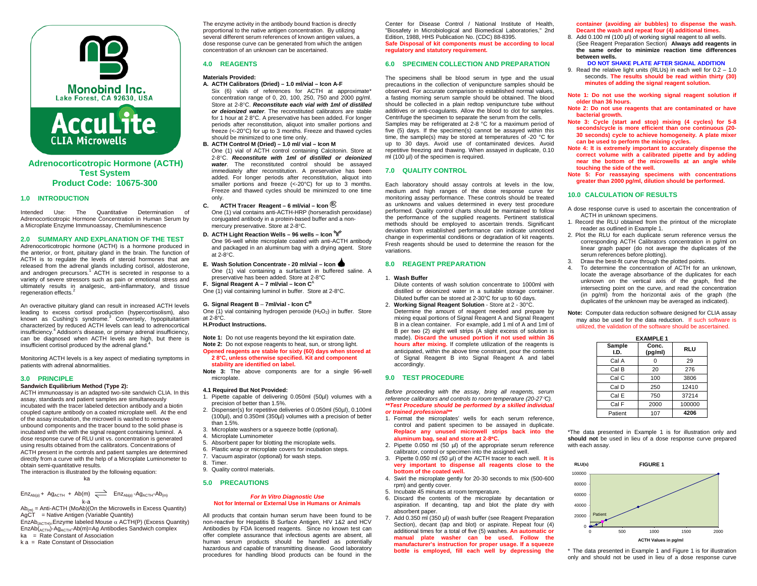



# **Adrenocorticotropic Hormone (ACTH) Test System Product Code: 10675-300**

## **1.0 INTRODUCTION**

Intended Use: The Quantitative Determination of Adrenocorticotropic Hormone Concentration in Human Serum by a Microplate Enzyme Immunoassay, Chemiluminescence

**2.0 SUMMARY AND EXPLANATION OF THE TEST** Adrenocorticotropic hormone (ACTH) is a hormone produced in the anterior, or front, pituitary gland in the brain. The function of ACTH is to regulate the levels of steroid hormones that are released from the adrenal glands including cortisol, aldosterone, and androgen precursors.<sup>1</sup> ACTH is secreted in response to a variety of severe stressors such as pain or emotional stress and ultimately results in analgesic, anti-inflammatory, and tissue regeneration effects.<sup>2</sup>

An overactive pituitary gland can result in increased ACTH levels leading to excess cortisol production (hypercortisolism), also known as Cushing's syndrome.<sup>3</sup> Conversely, hypopituitarism characterized by reduced ACTH levels can lead to adrenocortical insufficiency. 4 Addison's disease, or primary adrenal insufficiency, can be diagnosed when ACTH levels are high, but there is insufficient cortisol produced by the adrenal gland.

Monitoring ACTH levels is a key aspect of mediating symptoms in patients with adrenal abnormalities.

# **3.0 PRINCIPLE**

## **Sandwich Equilibrium Method (Type 2):**

ACTH immunoassay is an adapted two-site sandwich CLIA. In this assay, standards and patient samples are simultaneously incubated with the tracer labeled detection antibody and a biotin coupled capture antibody on a coated microplate well. At the end of the assay incubation, the microwell is washed to remove unbound components and the tracer bound to the solid phase is incubated with the with the signal reagent containing luminol. A dose response curve of RLU unit vs. concentration is generated using results obtained from the calibrators. Concentrations of ACTH present in the controls and patient samples are determined directly from a curve with the help of a Microplate Luminometer to obtain semi-quantitative results.

The interaction is illustrated by the following equation:

# ka

 $Enz<sub>Ab(p)</sub> + Ag<sub>ACH</sub> + Ab(m) \implies Enz<sub>Ab(p)</sub> - Ag<sub>ACH</sub>-Ab<sub>(m)</sub>$ k-a

 $Ab_{(m)} = Anti-ACTH (MoAb)(On the Microwells in Excess Quantity)$ AgCT = Native Antigen (Variable Quantity) EnzAb $_{(ACTH)}$ =Enzyme labeled Mouse  $\alpha$  ACTH(P) (Excess Quantity) EnzAb(ACTH)-AgACTH-Ab(m)=Ag Antibodies Sandwich complex ka = Rate Constant of Association

k a = Rate Constant of Dissociation

The enzyme activity in the antibody bound fraction is directly proportional to the native antigen concentration. By utilizing several different serum references of known antigen values, a dose response curve can be generated from which the antigen concentration of an unknown can be ascertained.

# **4.0 REAGENTS**

# **Materials Provided:**

- **A. ACTH Calibrators (Dried) – 1.0 ml/vial – Icon A-F** Six (6) vials of references for ACTH at approximate\* concentration range of 0, 20, 100, 250, 750 and 2000 pg/ml. Store at 2-8°C. *Reconstitute each vial with 1ml of distilled or deionized water*. The reconstituted calibrators are stable for 1 hour at 2 8°C. A preservative has been added. For longer periods after reconstitution, aliquot into smaller portions and freeze (<-20°C) for up to 3 months. Freeze and thawed cycles should be minimized to one time only.
- **B. ACTH Control M (Dried) – 1.0 ml/ vial – Icon M**
	- One (1) vial of ACTH control containing Calcitonin. Store at 2-8°C. *Reconstitute with 1ml of distilled or deionized water*. The reconstituted control should be assayed immediately after reconstitution. A preservative has been added. For longer periods after reconstitution, aliquot into smaller portions and freeze (<-20°C) for up to 3 months. Freeze and thawed cycles should be minimized to one time only.
- **C. ACTH Tracer Reagent – 6 ml/vial – Icon <sup>E</sup>** One (1) vial contains anti-ACTH-HRP (horseradish peroxidase) conjugated antibody in a protein-based buffer and a non-
- mercury preservative. Store at 2-8°C. **D. ACTH Light Reaction Wells – 96 wells – Icon** One 96-well white microplate coated with anti-ACTH antibody and packaged in an aluminum bag with a drying agent. Store at 2-8°C.
- **E. Wash Solution Concentrate - 20 ml/vial – Icon**  One (1) vial containing a surfactant in buffered saline. A preservative has been added. Store at 2-8°C
- **F. Signal Reagent A – 7 ml/vial – Icon C**<sup>A</sup>

# One (1) vial containing luminol in buffer. Store at 2-8°C.

# **G. Signal Reagent B** – **7ml/vial - Icon CB**

One  $(1)$  vial containing hydrogen peroxide  $(H_2O_2)$  in buffer. Store at 2-8°C.

## **H.Product Instructions.**

**Note 1:** Do not use reagents beyond the kit expiration date. **Note 2:** Do not expose reagents to heat, sun, or strong light. **Opened reagents are stable for sixty (60) days when stored at** 

#### **2 8°C, unless otherwise specified. Kit and component stability are identified on label.**

**Note 3:** The above components are for a single 96-well microplate.

#### **4.1 Required But Not Provided:**

- 1. Pipette capable of delivering 0.050ml (50µl) volumes with a precision of better than 1.5%. 2. Dispenser(s) for repetitive deliveries of 0.050ml (50µl), 0.100ml
- (100µl), and 0.350ml (350µl) volumes with a precision of better than 1.5%.
- 3. Microplate washers or a squeeze bottle (optional).
- 4. Microplate Luminometer
- 5. Absorbent paper for blotting the microplate wells.
- 6. Plastic wrap or microplate covers for incubation steps.
- 7. Vacuum aspirator (optional) for wash steps.
- 8. Timer.
- 9. Quality control materials.

# **5.0 PRECAUTIONS**

#### *For In Vitro Diagnostic Use* **Not for Internal or External Use in Humans or Animals**

All products that contain human serum have been found to be non-reactive for Hepatitis B Surface Antigen, HIV 1&2 and HCV Antibodies by FDA licensed reagents. Since no known test can offer complete assurance that infectious agents are absent, all human serum products should be handled as potentially hazardous and capable of transmitting disease. Good laboratory procedures for handling blood products can be found in the Center for Disease Control / National Institute of Health, "Biosafety in Microbiological and Biomedical Laboratories," 2nd Edition, 1988, HHS Publication No. (CDC) 88-8395. **Safe Disposal of kit components must be according to local regulatory and statutory requirement.**

# **6.0 SPECIMEN COLLECTION AND PREPARATION**

The specimens shall be blood serum in type and the usual precautions in the collection of venipuncture samples should be observed. For accurate comparison to established normal values, a fasting morning serum sample should be obtained. The blood should be collected in a plain redtop venipuncture tube without additives or anti-coagulants. Allow the blood to clot for samples. Centrifuge the specimen to separate the serum from the cells. Samples may be refrigerated at 2-8 °C for a maximum period of five (5) days. If the specimen(s) cannot be assayed within this time, the sample(s) may be stored at temperatures of -20 °C for up to 30 days. Avoid use of contaminated devices. Avoid repetitive freezing and thawing. When assayed in duplicate, 0.10 ml (100 µl) of the specimen is required.

# **7.0 QUALITY CONTROL**

Each laboratory should assay controls at levels in the low, medium and high ranges of the dose response curve for monitoring assay performance. These controls should be treated as unknowns and values determined in every test procedure performed. Quality control charts should be maintained to follow the performance of the supplied reagents. Pertinent statistical methods should be employed to ascertain trends. Significant deviation from established performance can indicate unnoticed change in experimental conditions or degradation of kit reagents. Fresh reagents should be used to determine the reason for the variations.

### **8.0 REAGENT PREPARATION**

#### 1. **Wash Buffer**

Dilute contents of wash solution concentrate to 1000ml with distilled or deionized water in a suitable storage container. Diluted buffer can be stored at 2-30°C for up to 60 days.

2. **Working Signal Reagent Solution** - Store at 2 - 30°C. Determine the amount of reagent needed and prepare by mixing equal portions of Signal Reagent A and Signal Reagent B in a clean container. For example, add 1 ml of A and 1ml of B per two (2) eight well strips (A slight excess of solution is made). **Discard the unused portion if not used within 36 hours after mixing.** If complete utilization of the reagents is anticipated, within the above time constraint, pour the contents of Signal Reagent B into Signal Reagent A and label accordingly.

## **9.0 TEST PROCEDURE**

*Before proceeding with the assay, bring all reagents, serum reference calibrators and controls to room temperature (20-27*°*C). \*\*Test Procedure should be performed by a skilled individual or trained professional\*\**

- 1. Format the microplates' wells for each serum reference, control and patient specimen to be assayed in duplicate. **Replace any unused microwell strips back into the aluminum bag, seal and store at 2-8**°**C.**
- 2. Pipette 0.050 ml (50 µl) of the appropriate serum reference calibrator, control or specimen into the assigned well.
- 3. Pipette 0.050 ml (50 μl) of the ACTH tracer to each well. **It is very important to dispense all reagents close to the bottom of the coated well.**
- 4. Swirl the microplate gently for 20-30 seconds to mix (500-600 rpm) and gently cover.
- 5. Incubate 45 minutes at room temperature.
- 6. Discard the contents of the microplate by decantation or aspiration. If decanting, tap and blot the plate dry with absorbent paper.
- 7. Add 0.350 ml (350 µl) of wash buffer (see Reagent Preparation Section), decant (tap and blot) or aspirate. Repeat four (4) additional times for a total of five (5) washes. **An automatic or manual plate washer can be used. Follow the manufacturer's instruction for proper usage. If a squeeze bottle is employed, fill each well by depressing the**

**container (avoiding air bubbles) to dispense the wash. Decant the wash and repeat four (4) additional times.** 

8. Add 0.100 ml (100 µl) of working signal reagent to all wells. (See Reagent Preparation Section) **Always add reagents in the same order to minimize reaction time differences between wells.** 

## **DO NOT SHAKE PLATE AFTER SIGNAL ADDITION**

- 9. Read the relative light units (RLUs) in each well for 0.2 1.0 seconds. **The results should be read within thirty (30) minutes of adding the signal reagent solution.**
- **Note 1: Do not use the working signal reagent solution if older than 36 hours.**
- **Note 2: Do not use reagents that are contaminated or have bacterial growth.**
- **Note 3: Cycle (start and stop) mixing (4 cycles) for 5-8 seconds/cycle is more efficient than one continuous (20- 30 seconds) cycle to achieve homogeneity. A plate mixer can be used to perform the mixing cycles.**
- **Note 4: It is extremely important to accurately dispense the correct volume with a calibrated pipette and by adding near the bottom of the microwells at an angle while touching the side of the well.**
- **Note 5: For reassaying specimens with concentrations greater than 2000 pg/ml, dilution should be performed.**

# **10.0 CALCULATION OF RESULTS**

- A dose response curve is used to ascertain the concentration of ACTH in unknown specimens.
- 1. Record the RLU obtained from the printout of the microplate reader as outlined in Example 1.
- 2. Plot the RLU for each duplicate serum reference versus the corresponding ACTH Calibrators concentration in pg/ml on linear graph paper (do not average the duplicates of the serum references before plotting).
- 3. Draw the best-fit curve through the plotted points.
- 4. To determine the concentration of ACTH for an unknown, locate the average absorbance of the duplicates for each unknown on the vertical axis of the graph, find the intersecting point on the curve, and read the concentration (in pg/ml) from the horizontal axis of the graph (the duplicates of the unknown may be averaged as indicated).

#### **Note:** Computer data reduction software designed for CLIA assay may also be used for the data reduction. If such software is utilized, the validation of the software should be ascertained.

| <b>EXAMPLE 1</b> |                  |            |  |  |  |
|------------------|------------------|------------|--|--|--|
| Sample<br>I.D.   | Conc.<br>(pg/ml) | <b>RLU</b> |  |  |  |
| Cal A            |                  | 29         |  |  |  |
| Cal B            | 20               | 276        |  |  |  |
| Cal C            | 100              | 3806       |  |  |  |
| Cal D            | 250              | 12410      |  |  |  |
| Cal E            | 750              | 37214      |  |  |  |
| Cal F            | 2000             | 100000     |  |  |  |
| Patient          | 107              | 4206       |  |  |  |

\*The data presented in Example 1 is for illustration only and **should not** be used in lieu of a dose response curve prepared with each assay.



\* The data presented in Example 1 and Figure 1 is for illustration only and should not be used in lieu of a dose response curve